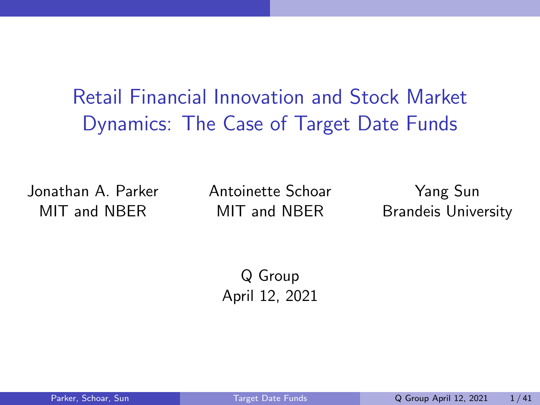<span id="page-0-1"></span><span id="page-0-0"></span>Retail Financial Innovation and Stock Market Dynamics: The Case of Target Date Funds

Jonathan A. Parker MIT and NBER

Antoinette Schoar MIT and NBER

Yang Sun Brandeis University

Q Group April 12, 2021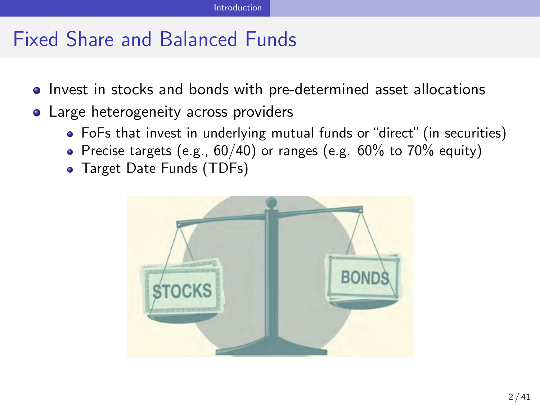## <span id="page-1-0"></span>Fixed Share and Balanced Funds

- Invest in stocks and bonds with pre-determined asset allocations
- Large heterogeneity across providers
	- FoFs that invest in underlying mutual funds or "direct" (in securities)
	- Precise targets (e.g.,  $60/40$ ) or ranges (e.g.  $60\%$  to  $70\%$  equity)
	- Target Date Funds (TDFs)

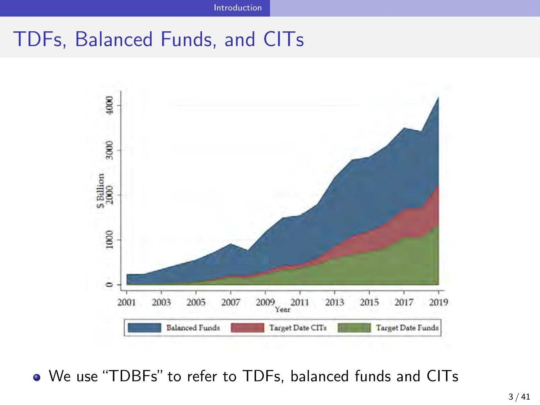### TDFs, Balanced Funds, and CITs



We use "TDBFs" to refer to TDFs, balanced funds and CITs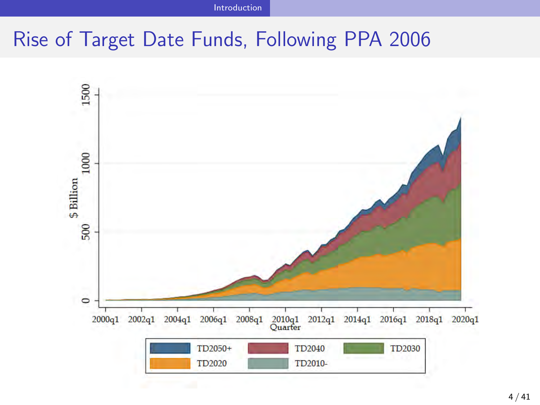[Introduction](#page-1-0)

## Rise of Target Date Funds, Following PPA 2006

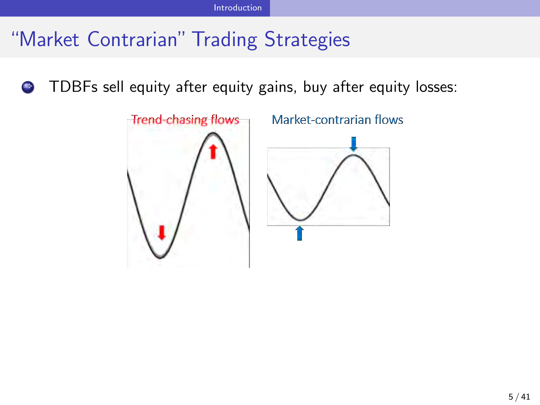# "Market Contrarian" Trading Strategies

**• TDBFs sell equity after equity gains, buy after equity losses:** 

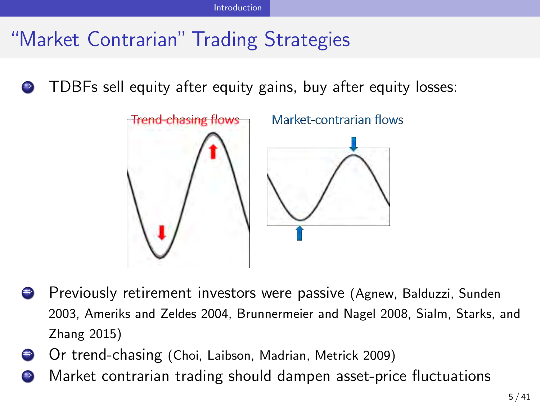# "Market Contrarian" Trading Strategies

) TDBFs sell equity after equity gains, buy after equity losses:



- ) Previously retirement investors were passive (Agnew, Balduzzi, Sunden 2003, Ameriks and Zeldes 2004, Brunnermeier and Nagel 2008, Sialm, Starks, and Zhang 2015)
- ) Or trend-chasing (Choi, Laibson, Madrian, Metrick 2009)
- ) Market contrarian trading should dampen asset-price fluctuations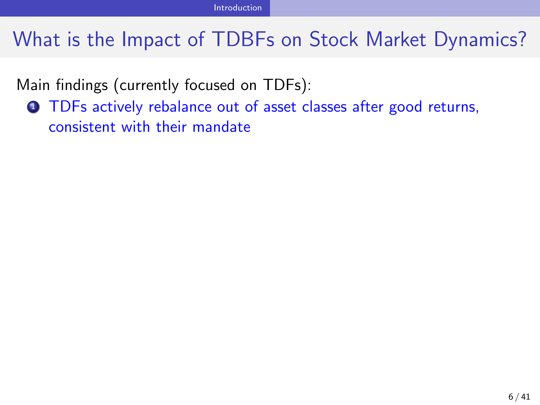Main findings (currently focused on TDFs):

**1** TDFs actively rebalance out of asset classes after good returns, consistent with their mandate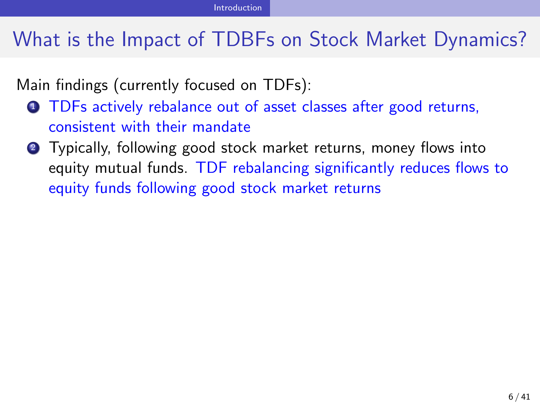Main findings (currently focused on TDFs):

- **1** TDFs actively rebalance out of asset classes after good returns, consistent with their mandate
- **2** Typically, following good stock market returns, money flows into equity mutual funds. TDF rebalancing significantly reduces flows to equity funds following good stock market returns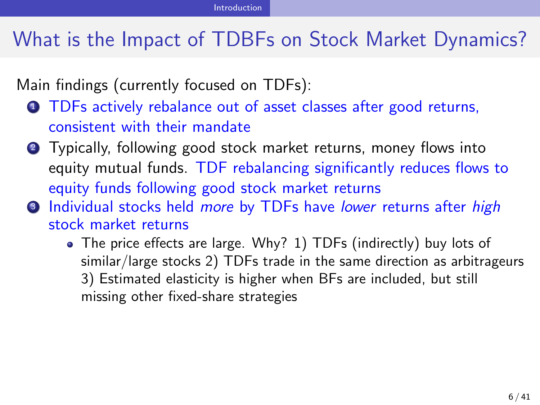Main findings (currently focused on TDFs):

- **1** TDFs actively rebalance out of asset classes after good returns, consistent with their mandate
- **2** Typically, following good stock market returns, money flows into equity mutual funds. TDF rebalancing significantly reduces flows to equity funds following good stock market returns
- <sup>3</sup> Individual stocks held *more* by TDFs have *lower* returns after *high* stock market returns
	- The price effects are large. Why? 1) TDFs (indirectly) buy lots of similar/large stocks 2) TDFs trade in the same direction as arbitrageurs 3) Estimated elasticity is higher when BFs are included, but still missing other fixed-share strategies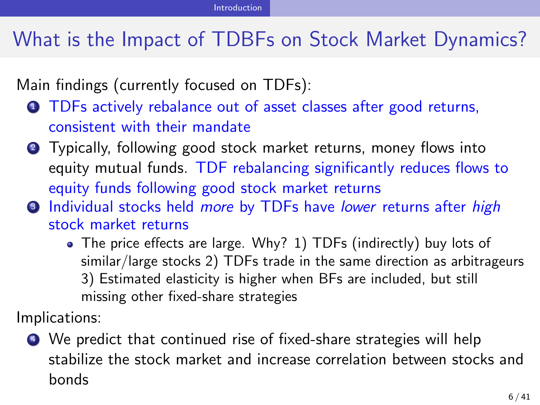Main findings (currently focused on TDFs):

- **1** TDFs actively rebalance out of asset classes after good returns, consistent with their mandate
- **2** Typically, following good stock market returns, money flows into equity mutual funds. TDF rebalancing significantly reduces flows to equity funds following good stock market returns
- <sup>3</sup> Individual stocks held *more* by TDFs have *lower* returns after *high* stock market returns
	- The price effects are large. Why? 1) TDFs (indirectly) buy lots of similar/large stocks 2) TDFs trade in the same direction as arbitrageurs 3) Estimated elasticity is higher when BFs are included, but still missing other fixed-share strategies

Implications:

<sup>4</sup> We predict that continued rise of fixed-share strategies will help stabilize the stock market and increase correlation between stocks and bonds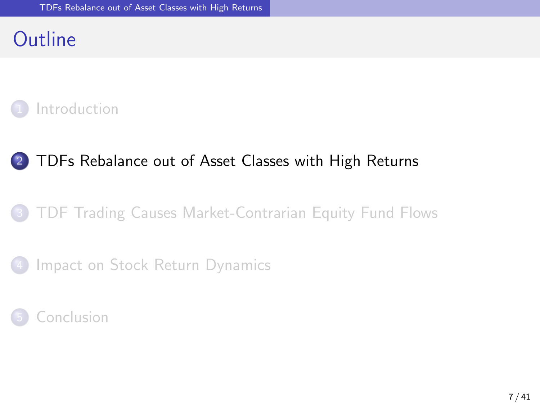### <span id="page-10-0"></span>**Outline**



#### [TDFs Rebalance out of Asset Classes with High Returns](#page-10-0)

#### [TDF Trading Causes Market-Contrarian Equity Fund Flows](#page-16-0)



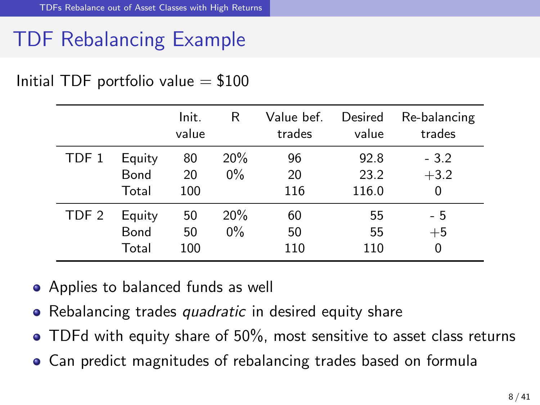# TDF Rebalancing Example

|  |  | Initial TDF portfolio value $= $100$ |  |  |
|--|--|--------------------------------------|--|--|
|--|--|--------------------------------------|--|--|

|                  |                         | Init.<br>value  | R            | Value bef.<br>trades | Desired<br>value      | Re-balancing<br>trades |
|------------------|-------------------------|-----------------|--------------|----------------------|-----------------------|------------------------|
| TDF 1            | Equity<br>Bond<br>Total | 80<br>20<br>100 | 20%<br>$0\%$ | 96<br>20<br>116      | 92.8<br>23.2<br>116.0 | $-3.2$<br>$+3.2$<br>0  |
| TDF <sub>2</sub> | Equity<br>Bond<br>Total | 50<br>50<br>100 | 20%<br>$0\%$ | 60<br>50<br>110      | 55<br>55<br>110       | - 5<br>$+5$<br>0       |

- Applies to balanced funds as well
- Rebalancing trades *quadratic* in desired equity share
- TDFd with equity share of 50%, most sensitive to asset class returns
- Can predict magnitudes of rebalancing trades based on formula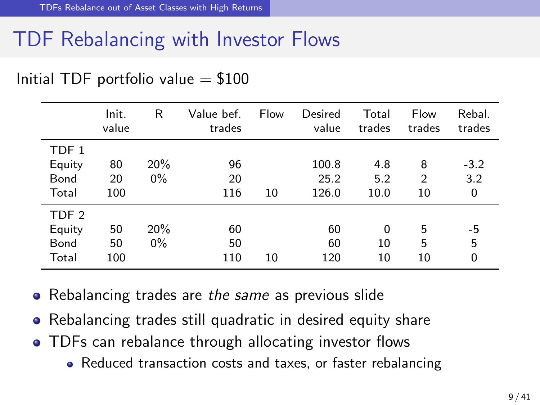## TDF Rebalancing with Investor Flows

|                                             | Init.<br>value  | R            | Value bef.<br>trades | Flow | Desired<br>value       | Total<br>trades      | Flow<br>trades | Rebal.<br>trades   |
|---------------------------------------------|-----------------|--------------|----------------------|------|------------------------|----------------------|----------------|--------------------|
| TDF 1<br>Equity<br>Bond<br>Total            | 80<br>20<br>100 | 20%<br>$0\%$ | 96<br>20<br>116      | 10   | 100.8<br>25.2<br>126.0 | 4.8<br>5.2<br>10.0   | 8<br>2<br>10   | $-3.2$<br>3.2<br>0 |
| TDF <sub>2</sub><br>Equity<br>Bond<br>Total | 50<br>50<br>100 | 20%<br>$0\%$ | 60<br>50<br>110      | 10   | 60<br>60<br>120        | $\Omega$<br>10<br>10 | 5<br>5<br>10   | -5<br>5<br>0       |

#### Initial TDF portfolio value  $= $100$

- Rebalancing trades are *the same* as previous slide
- Rebalancing trades still quadratic in desired equity share
- TDFs can rebalance through allocating investor flows
	- Reduced transaction costs and taxes, or faster rebalancing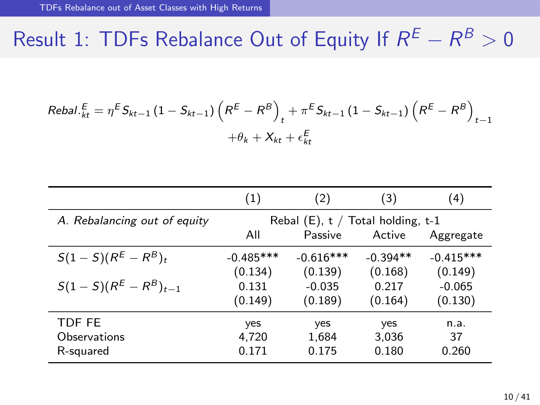# Result 1: TDFs Rebalance Out of Equity If  $R^E - R^B > 0$

$$
Rebal. \frac{E}{kt} = \eta^E S_{kt-1} (1 - S_{kt-1}) \left( R^E - R^B \right)_t + \pi^E S_{kt-1} (1 - S_{kt-1}) \left( R^E - R^B \right)_{t-1} + \theta_k + X_{kt} + \epsilon_{kt}^E
$$

|                              | (1)         | (2)                                  | (3)        | $\left(4\right)$ |
|------------------------------|-------------|--------------------------------------|------------|------------------|
| A. Rebalancing out of equity |             | Rebal $(E)$ , t / Total holding, t-1 |            |                  |
|                              | All         | Passive                              | Active     | Aggregate        |
| $S(1-S)(R^{E}-R^{B})_{t}$    | $-0.485***$ | $-0.616***$                          | $-0.394**$ | $-0.415***$      |
|                              | (0.134)     | (0.139)                              | (0.168)    | (0.149)          |
| $S(1-S)(R^{E}-R^{B})_{t-1}$  | 0.131       | $-0.035$                             | 0.217      | $-0.065$         |
|                              | (0.149)     | (0.189)                              | (0.164)    | (0.130)          |
| TDF FE                       | yes         | yes                                  | yes        | n.a.             |
| Observations                 | 4,720       | 1,684                                | 3,036      | 37               |
| R-squared                    | 0.171       | 0.175                                | 0.180      | 0.260            |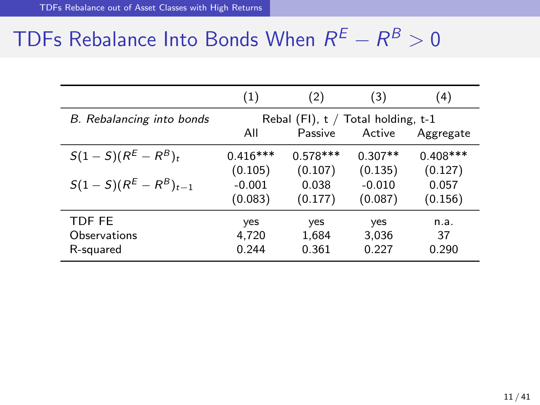# TDFs Rebalance Into Bonds When  $R^E - R^B > 0$

|                             | (1)        | (2)                                               | (3)       | (4)        |
|-----------------------------|------------|---------------------------------------------------|-----------|------------|
| B. Rebalancing into bonds   | All        | Rebal (FI), $t /$ Total holding, $t-1$<br>Passive | Active    | Aggregate  |
| $S(1-S)(R^{E}-R^{B})_{t}$   | $0.416***$ | $0.578***$                                        | $0.307**$ | $0.408***$ |
|                             | (0.105)    | (0.107)                                           | (0.135)   | (0.127)    |
| $S(1-S)(R^{E}-R^{B})_{t-1}$ | $-0.001$   | 0.038                                             | $-0.010$  | 0.057      |
|                             | (0.083)    | (0.177)                                           | (0.087)   | (0.156)    |
| TDF FE                      | yes        | yes                                               | yes       | n.a.       |
| Observations                | 4,720      | 1,684                                             | 3,036     | 37         |
| R-squared                   | 0.244      | 0.361                                             | 0.227     | 0.290      |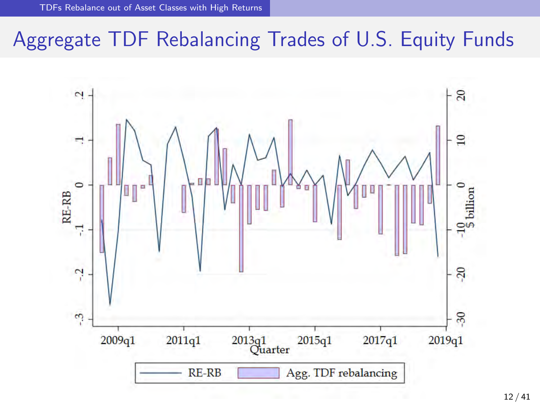## Aggregate TDF Rebalancing Trades of U.S. Equity Funds

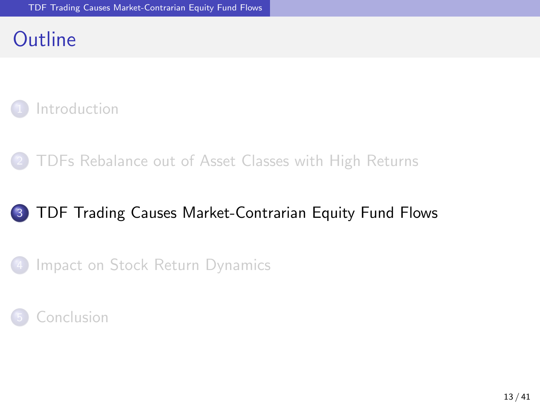### <span id="page-16-0"></span>**Outline**



2 [TDFs Rebalance out of Asset Classes with High Returns](#page-10-0)

#### 3 [TDF Trading Causes Market-Contrarian Equity Fund Flows](#page-16-0)

[Impact on Stock Return Dynamics](#page-21-0)

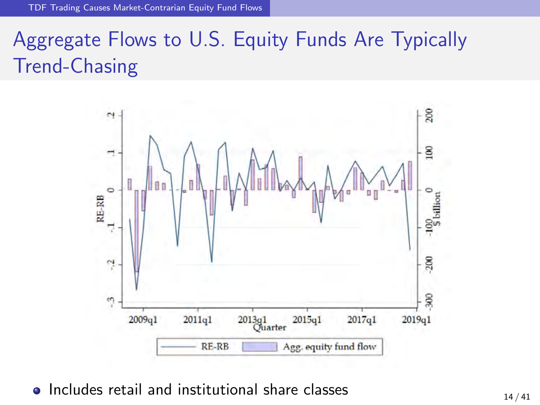# Aggregate Flows to U.S. Equity Funds Are Typically Trend-Chasing



• Includes retail and institutional share classes  $14 / 41$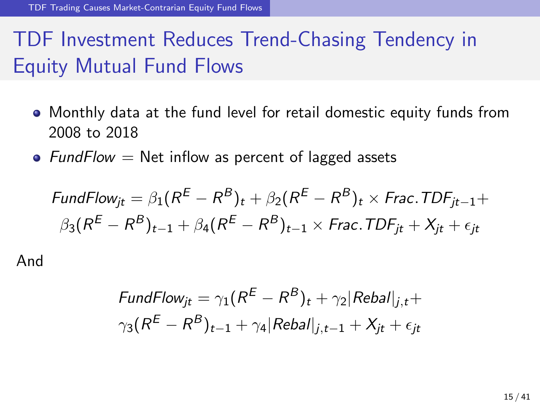# TDF Investment Reduces Trend-Chasing Tendency in Equity Mutual Fund Flows

- Monthly data at the fund level for retail domestic equity funds from 2008 to 2018
- *FundFlow* = Net inflow as percent of lagged assets

$$
\mathsf{FundFlow}_{jt} = \beta_1 (R^E - R^B)_t + \beta_2 (R^E - R^B)_t \times \mathsf{Frac}.\mathsf{TDF}_{jt-1} + \\ \beta_3 (R^E - R^B)_{t-1} + \beta_4 (R^E - R^B)_{t-1} \times \mathsf{Frac}.\mathsf{TDF}_{jt} + X_{jt} + \epsilon_{jt}
$$

And

$$
FundFlow_{jt} = \gamma_1 (R^E - R^B)_t + \gamma_2 |Rebal|_{j,t} +
$$
  

$$
\gamma_3 (R^E - R^B)_{t-1} + \gamma_4 |Rebal|_{j,t-1} + X_{jt} + \epsilon_{jt}
$$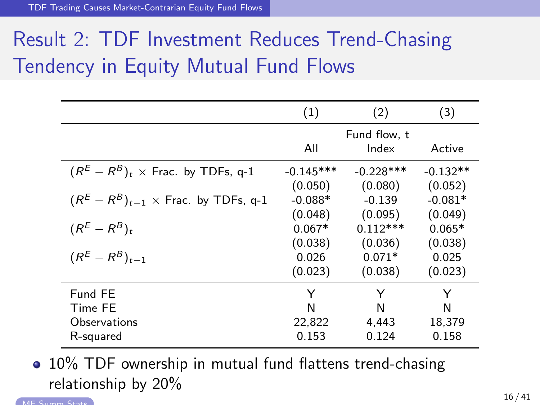[TDF Trading Causes Market-Contrarian Equity Fund Flows](#page-16-0)

# Result 2: TDF Investment Reduces Trend-Chasing Tendency in Equity Mutual Fund Flows

|                                                | (1)                    | (2)                    | (3)                   |
|------------------------------------------------|------------------------|------------------------|-----------------------|
|                                                | All                    | Fund flow, t<br>Index  | Active                |
| $(R^{E}-R^{B})_{t}$ × Frac. by TDFs, q-1       | $-0.145***$<br>(0.050) | $-0.228***$<br>(0.080) | $-0.132**$<br>(0.052) |
| $(R^{E}-R^{B})_{t-1}\times$ Frac. by TDFs, q-1 | $-0.088*$              | $-0.139$               | $-0.081*$             |
| $(R^{E}-R^{B})_{t}$                            | (0.048)<br>$0.067*$    | (0.095)<br>$0.112***$  | (0.049)<br>$0.065*$   |
| $(R^{E}-R^{B})_{t=1}$                          | (0.038)<br>0.026       | (0.036)<br>$0.071*$    | (0.038)<br>0.025      |
|                                                | (0.023)                | (0.038)                | (0.023)               |
| Fund FE<br>Time FE<br>Observations             | Y<br>N<br>22,822       | Y<br>N<br>4.443        | Y<br>N<br>18,379      |
| R-squared                                      | 0.153                  | 0.124                  | 0.158                 |

• 10% TDF ownership in mutual fund flattens trend-chasing relationship by 20%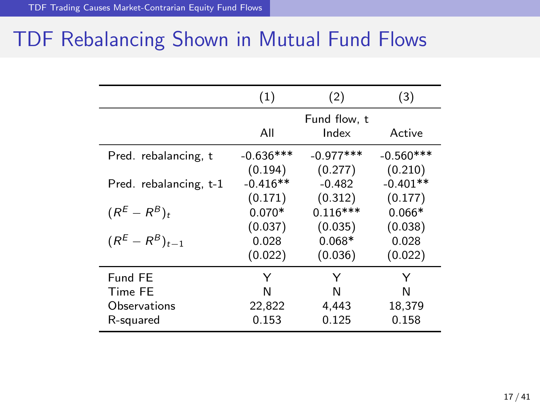# TDF Rebalancing Shown in Mutual Fund Flows

|                         | (1)         | (2)                   | (3)         |
|-------------------------|-------------|-----------------------|-------------|
|                         | All         | Fund flow, t<br>Index | Active      |
| Pred. rebalancing, t    | $-0.636***$ | $-0.977***$           | $-0.560***$ |
|                         | (0.194)     | (0.277)               | (0.210)     |
| Pred. rebalancing, t-1  | $-0.416**$  | $-0.482$              | $-0.401**$  |
|                         | (0.171)     | (0.312)               | (0.177)     |
| $(R^{E}-R^{B})_{t}$     | $0.070*$    | $0.116***$            | $0.066*$    |
|                         | (0.037)     | (0.035)               | (0.038)     |
| $(R^{E} - R^{B})_{t=1}$ | 0.028       | $0.068*$              | 0.028       |
|                         | (0.022)     | (0.036)               | (0.022)     |
| Fund FE                 | Y           | Y                     | Y           |
| Time FE                 | N           | N                     | N           |
| Observations            | 22,822      | 4,443                 | 18,379      |
| R-squared               | 0.153       | 0.125                 | 0.158       |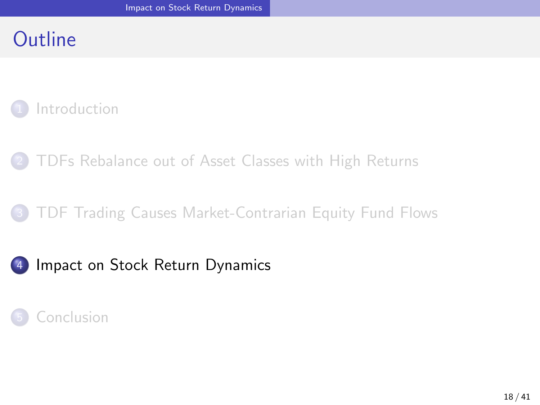### <span id="page-21-0"></span>**Outline**

#### **[Introduction](#page-1-0)**

2 [TDFs Rebalance out of Asset Classes with High Returns](#page-10-0)

#### 3 [TDF Trading Causes Market-Contrarian Equity Fund Flows](#page-16-0)

#### 4 [Impact on Stock Return Dynamics](#page-21-0)

#### **[Conclusion](#page-29-0)**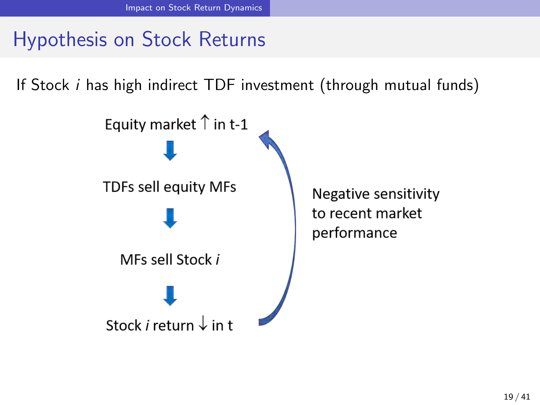# Hypothesis on Stock Returns

If Stock *i* has high indirect TDF investment (through mutual funds)

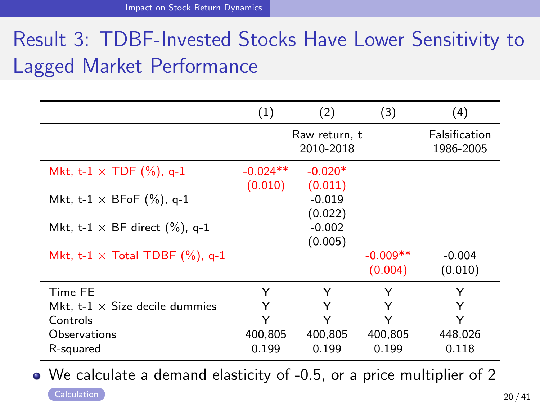# Result 3: TDBF-Invested Stocks Have Lower Sensitivity to Lagged Market Performance

|                                        | (1)                   | (2)                        | (3)                   | (4)                        |
|----------------------------------------|-----------------------|----------------------------|-----------------------|----------------------------|
|                                        |                       | Raw return, t<br>2010-2018 |                       | Falsification<br>1986-2005 |
| Mkt, t-1 $\times$ TDF (%), q-1         | $-0.024**$<br>(0.010) | $-0.020*$<br>(0.011)       |                       |                            |
| Mkt, t-1 $\times$ BFoF (%), q-1        |                       | $-0.019$<br>(0.022)        |                       |                            |
| Mkt, t-1 $\times$ BF direct (%), q-1   |                       | $-0.002$<br>(0.005)        |                       |                            |
| Mkt, t-1 $\times$ Total TDBF (%), q-1  |                       |                            | $-0.009**$<br>(0.004) | $-0.004$<br>(0.010)        |
| Time FE                                | Υ                     | Υ                          | Y                     | Y                          |
| Mkt. t- $1 \times$ Size decile dummies | Υ                     | Υ                          | Υ                     |                            |
| Controls                               | Υ                     | Υ                          | Υ                     | Y                          |
| Observations                           | 400,805               | 400,805                    | 400,805               | 448,026                    |
| R-squared                              | 0.199                 | 0.199                      | 0.199                 | 0.118                      |

We calculate a demand elasticity of -0.5, or a price multiplier of 2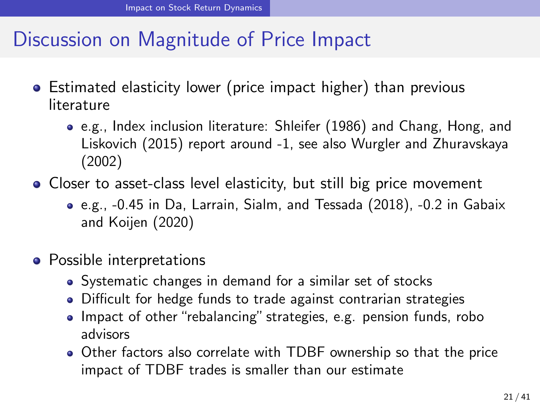### Discussion on Magnitude of Price Impact

- Estimated elasticity lower (price impact higher) than previous literature
	- e.g., Index inclusion literature: Shleifer (1986) and Chang, Hong, and Liskovich (2015) report around -1, see also Wurgler and Zhuravskaya (2002)
- Closer to asset-class level elasticity, but still big price movement
	- e.g., -0.45 in Da, Larrain, Sialm, and Tessada (2018), -0.2 in Gabaix and Koijen (2020)
- Possible interpretations
	- Systematic changes in demand for a similar set of stocks
	- Difficult for hedge funds to trade against contrarian strategies
	- Impact of other "rebalancing" strategies, e.g. pension funds, robo advisors
	- Other factors also correlate with TDBF ownership so that the price impact of TDBF trades is smaller than our estimate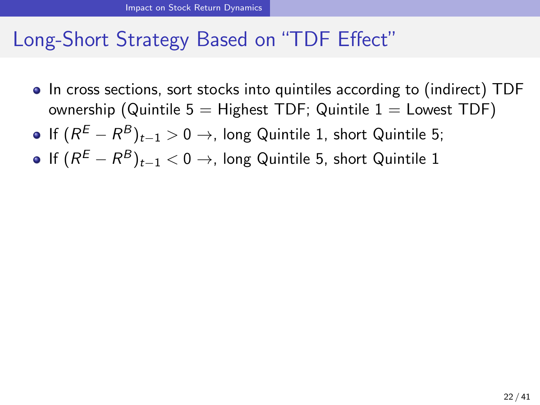### Long-Short Strategy Based on "TDF Effect"

- In cross sections, sort stocks into quintiles according to (indirect) TDF ownership (Quintile  $5 =$  Highest TDF; Quintile  $1 =$  Lowest TDF)
- **•** If  $(R^E R^B)_{t-1} > 0 \rightarrow$ , long Quintile 1, short Quintile 5;
- **•** If  $(R^E R^B)_{t-1} < 0 \rightarrow$ , long Quintile 5, short Quintile 1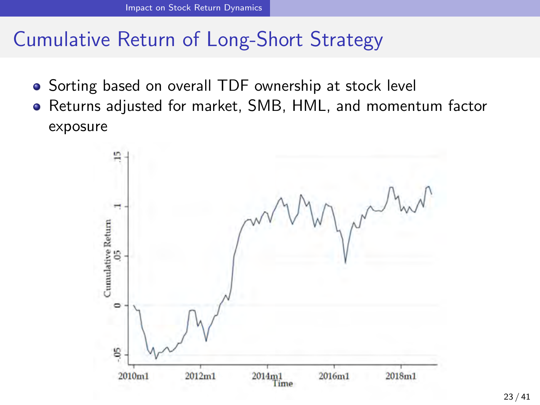## Cumulative Return of Long-Short Strategy

- Sorting based on overall TDF ownership at stock level
- Returns adjusted for market, SMB, HML, and momentum factor exposure

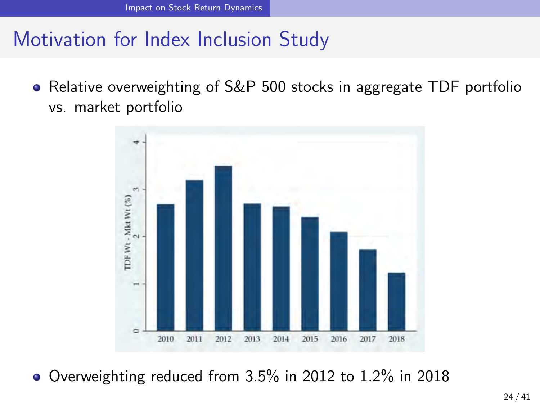### Motivation for Index Inclusion Study

Relative overweighting of S&P 500 stocks in aggregate TDF portfolio vs. market portfolio



Overweighting reduced from 3.5% in 2012 to 1.2% in 2018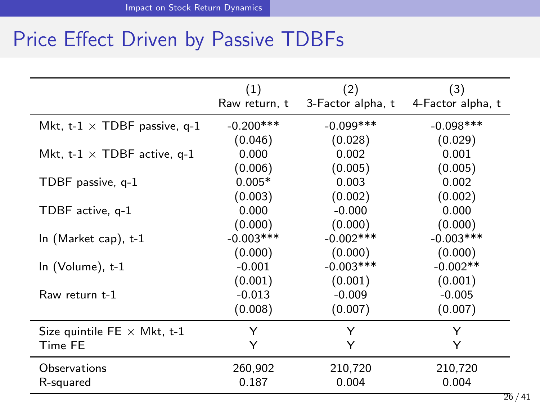## Price Effect Driven by Passive TDBFs

|                                     | (1)<br>Raw return, t | (2)<br>3-Factor alpha, t | (3)<br>4-Factor alpha, t |
|-------------------------------------|----------------------|--------------------------|--------------------------|
| Mkt, t-1 $\times$ TDBF passive, q-1 | $-0.200***$          | $-0.099***$              | $-0.098***$              |
|                                     | (0.046)              | (0.028)                  | (0.029)                  |
| Mkt, t-1 $\times$ TDBF active, q-1  | 0.000                | 0.002                    | 0.001                    |
|                                     | (0.006)              | (0.005)                  | (0.005)                  |
| TDBF passive, q-1                   | $0.005*$             | 0.003                    | 0.002                    |
|                                     | (0.003)              | (0.002)                  | (0.002)                  |
| TDBF active, q-1                    | 0.000                | $-0.000$                 | 0.000                    |
|                                     | (0.000)              | (0.000)                  | (0.000)                  |
| In $(Market cap)$ , t-1             | $-0.003***$          | $-0.002$ ***             | $-0.003***$              |
|                                     | (0.000)              | (0.000)                  | (0.000)                  |
| In (Volume), t-1                    | $-0.001$             | $-0.003***$              | $-0.002**$               |
|                                     | (0.001)              | (0.001)                  | (0.001)                  |
| Raw return t-1                      | $-0.013$             | $-0.009$                 | $-0.005$                 |
|                                     | (0.008)              | (0.007)                  | (0.007)                  |
| Size quintile FE $\times$ Mkt, t-1  | Y                    | Y                        | Y                        |
| Time FE                             | Y                    | Y                        | Υ                        |
| Observations                        | 260,902              | 210,720                  | 210,720                  |
| R-squared                           | 0.187                | 0.004                    | 0.004                    |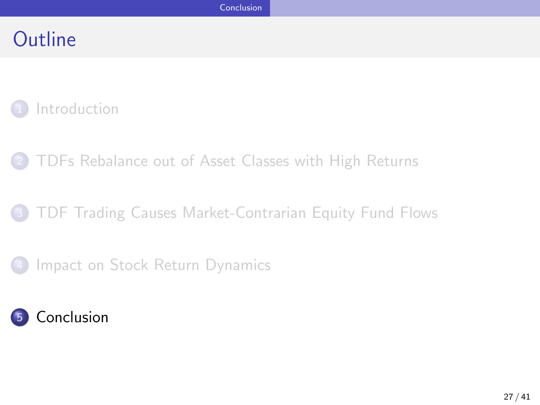### <span id="page-29-0"></span>**Outline**

#### **[Introduction](#page-1-0)**

2 [TDFs Rebalance out of Asset Classes with High Returns](#page-10-0)

#### 3 [TDF Trading Causes Market-Contrarian Equity Fund Flows](#page-16-0)

#### [Impact on Stock Return Dynamics](#page-21-0)